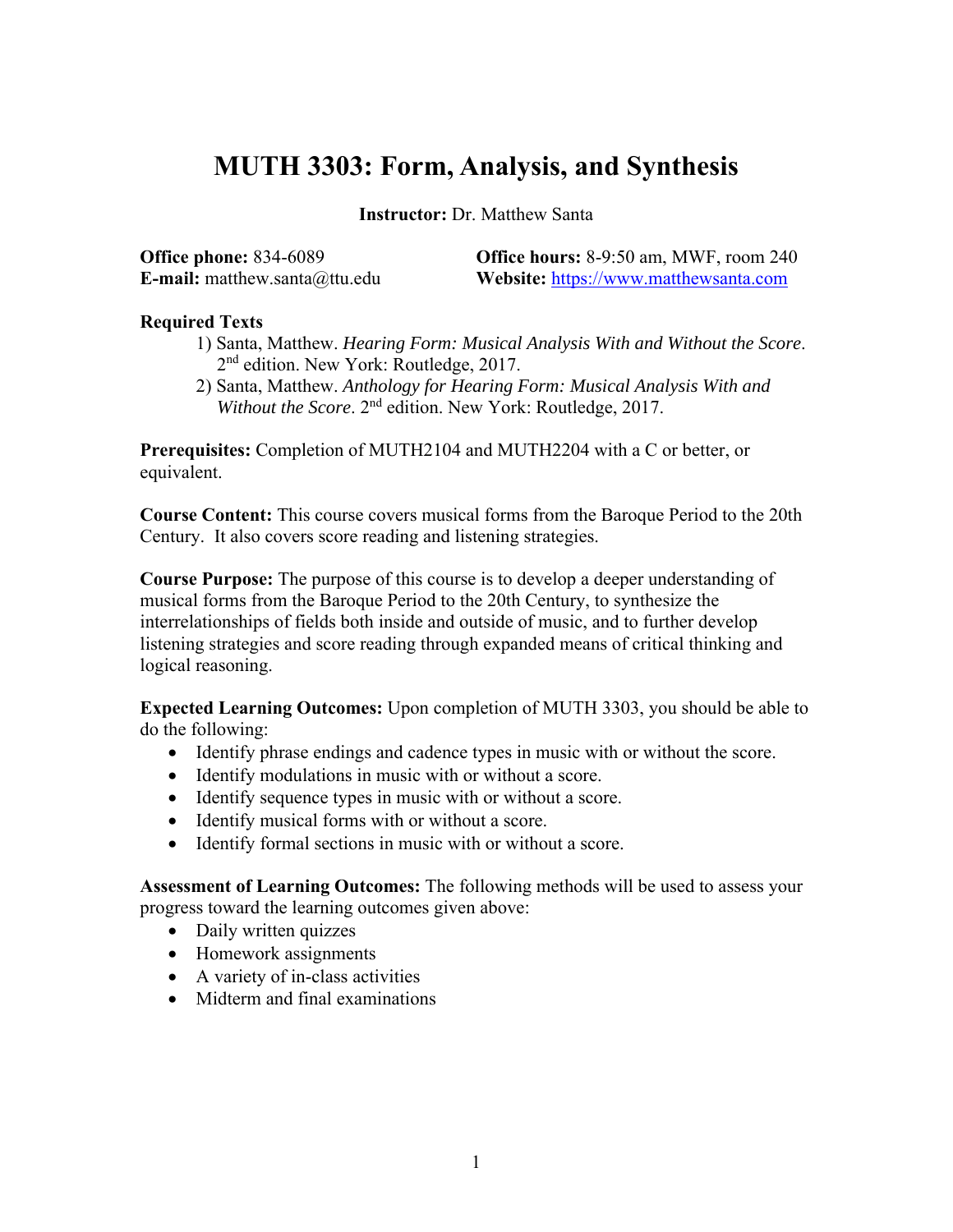# **MUTH 3303: Form, Analysis, and Synthesis**

**Instructor:** Dr. Matthew Santa

| <b>Office phone: 834-6089</b>        | <b>Office hours:</b> 8-9:50 am, MWF, room 240 |
|--------------------------------------|-----------------------------------------------|
| <b>E-mail:</b> matthew.santa@ttu.edu | <b>Website:</b> https://www.matthewsanta.com  |

# **Required Texts**

- 1) Santa, Matthew. *Hearing Form: Musical Analysis With and Without the Score*. 2<sup>nd</sup> edition. New York: Routledge, 2017.
- 2) Santa, Matthew. *Anthology for Hearing Form: Musical Analysis With and Without the Score*. 2nd edition. New York: Routledge, 2017.

**Prerequisites:** Completion of MUTH2104 and MUTH2204 with a C or better, or equivalent.

**Course Content:** This course covers musical forms from the Baroque Period to the 20th Century. It also covers score reading and listening strategies.

**Course Purpose:** The purpose of this course is to develop a deeper understanding of musical forms from the Baroque Period to the 20th Century, to synthesize the interrelationships of fields both inside and outside of music, and to further develop listening strategies and score reading through expanded means of critical thinking and logical reasoning.

**Expected Learning Outcomes:** Upon completion of MUTH 3303, you should be able to do the following:

- Identify phrase endings and cadence types in music with or without the score.
- Identify modulations in music with or without a score.
- Identify sequence types in music with or without a score.
- Identify musical forms with or without a score.
- Identify formal sections in music with or without a score.

**Assessment of Learning Outcomes:** The following methods will be used to assess your progress toward the learning outcomes given above:

- Daily written quizzes
- Homework assignments
- A variety of in-class activities
- Midterm and final examinations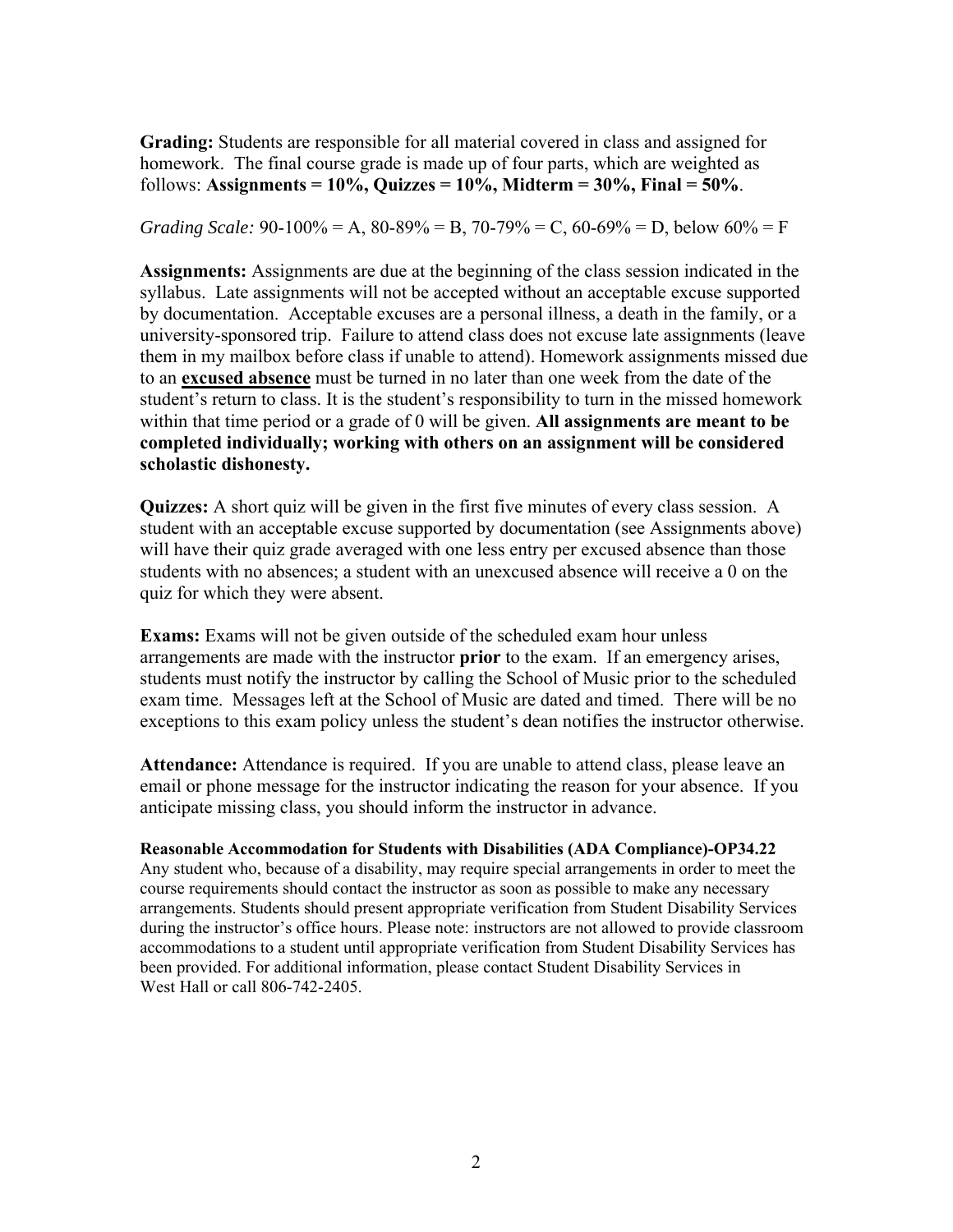**Grading:** Students are responsible for all material covered in class and assigned for homework. The final course grade is made up of four parts, which are weighted as follows: **Assignments = 10%, Quizzes = 10%, Midterm = 30%, Final = 50%**.

*Grading Scale:* 90-100% = A, 80-89% = B, 70-79% = C, 60-69% = D, below  $60\%$  = F

**Assignments:** Assignments are due at the beginning of the class session indicated in the syllabus. Late assignments will not be accepted without an acceptable excuse supported by documentation. Acceptable excuses are a personal illness, a death in the family, or a university-sponsored trip. Failure to attend class does not excuse late assignments (leave them in my mailbox before class if unable to attend). Homework assignments missed due to an **excused absence** must be turned in no later than one week from the date of the student's return to class. It is the student's responsibility to turn in the missed homework within that time period or a grade of 0 will be given. **All assignments are meant to be completed individually; working with others on an assignment will be considered scholastic dishonesty.** 

**Quizzes:** A short quiz will be given in the first five minutes of every class session. A student with an acceptable excuse supported by documentation (see Assignments above) will have their quiz grade averaged with one less entry per excused absence than those students with no absences; a student with an unexcused absence will receive a 0 on the quiz for which they were absent.

**Exams:** Exams will not be given outside of the scheduled exam hour unless arrangements are made with the instructor **prior** to the exam. If an emergency arises, students must notify the instructor by calling the School of Music prior to the scheduled exam time. Messages left at the School of Music are dated and timed. There will be no exceptions to this exam policy unless the student's dean notifies the instructor otherwise.

**Attendance:** Attendance is required. If you are unable to attend class, please leave an email or phone message for the instructor indicating the reason for your absence. If you anticipate missing class, you should inform the instructor in advance.

**Reasonable Accommodation for Students with Disabilities (ADA Compliance)-OP34.22**  Any student who, because of a disability, may require special arrangements in order to meet the course requirements should contact the instructor as soon as possible to make any necessary arrangements. Students should present appropriate verification from Student Disability Services during the instructor's office hours. Please note: instructors are not allowed to provide classroom accommodations to a student until appropriate verification from Student Disability Services has been provided. For additional information, please contact Student Disability Services in West Hall or call 806-742-2405.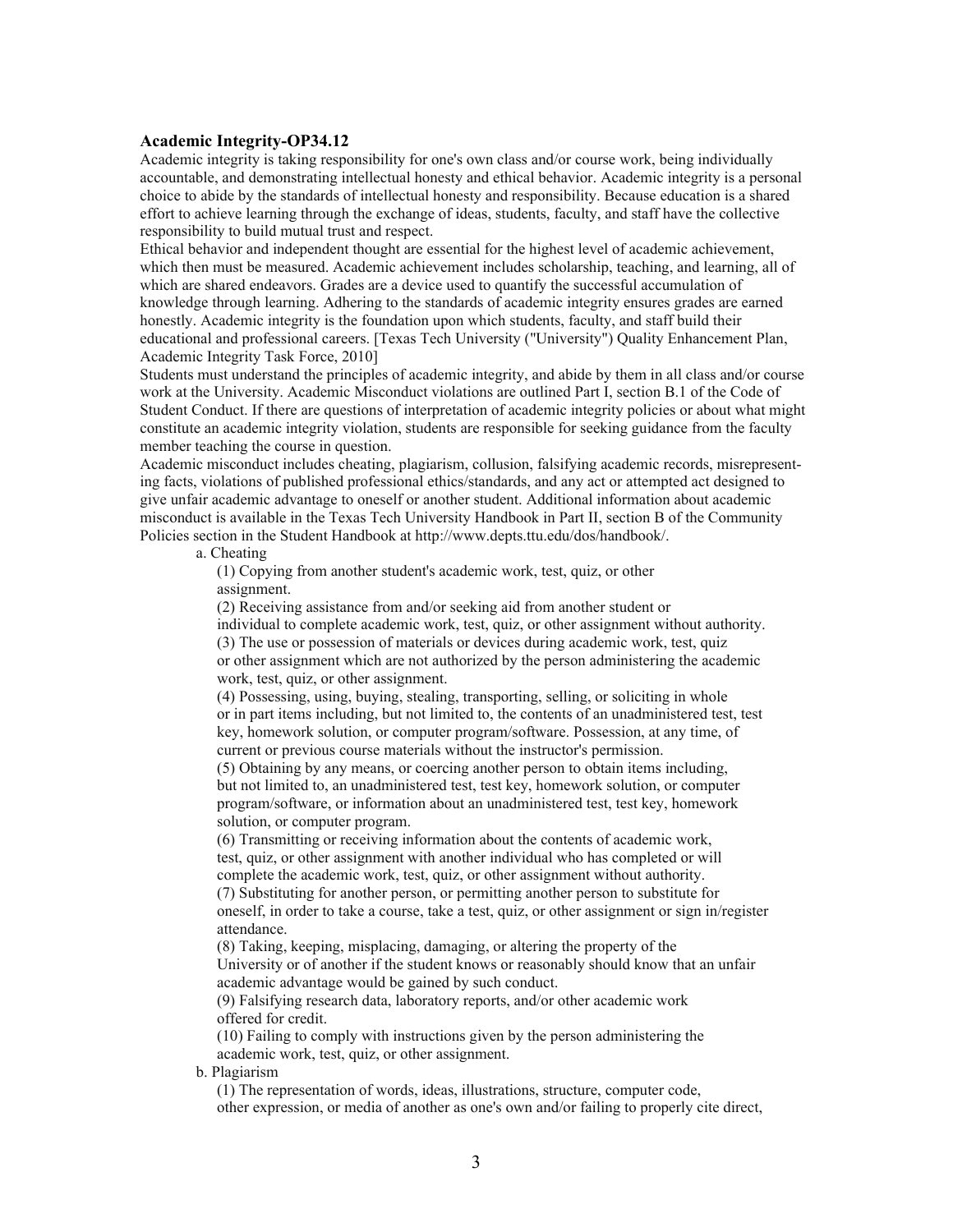#### **Academic Integrity-OP34.12**

Academic integrity is taking responsibility for one's own class and/or course work, being individually accountable, and demonstrating intellectual honesty and ethical behavior. Academic integrity is a personal choice to abide by the standards of intellectual honesty and responsibility. Because education is a shared effort to achieve learning through the exchange of ideas, students, faculty, and staff have the collective responsibility to build mutual trust and respect.

Ethical behavior and independent thought are essential for the highest level of academic achievement, which then must be measured. Academic achievement includes scholarship, teaching, and learning, all of which are shared endeavors. Grades are a device used to quantify the successful accumulation of knowledge through learning. Adhering to the standards of academic integrity ensures grades are earned honestly. Academic integrity is the foundation upon which students, faculty, and staff build their educational and professional careers. [Texas Tech University ("University") Quality Enhancement Plan, Academic Integrity Task Force, 2010]

Students must understand the principles of academic integrity, and abide by them in all class and/or course work at the University. Academic Misconduct violations are outlined Part I, section B.1 of the Code of Student Conduct. If there are questions of interpretation of academic integrity policies or about what might constitute an academic integrity violation, students are responsible for seeking guidance from the faculty member teaching the course in question.

Academic misconduct includes cheating, plagiarism, collusion, falsifying academic records, misrepresenting facts, violations of published professional ethics/standards, and any act or attempted act designed to give unfair academic advantage to oneself or another student. Additional information about academic misconduct is available in the Texas Tech University Handbook in Part II, section B of the Community Policies section in the Student Handbook at http://www.depts.ttu.edu/dos/handbook/.

a. Cheating

(1) Copying from another student's academic work, test, quiz, or other assignment.

(2) Receiving assistance from and/or seeking aid from another student or

individual to complete academic work, test, quiz, or other assignment without authority.

(3) The use or possession of materials or devices during academic work, test, quiz

or other assignment which are not authorized by the person administering the academic work, test, quiz, or other assignment.

(4) Possessing, using, buying, stealing, transporting, selling, or soliciting in whole or in part items including, but not limited to, the contents of an unadministered test, test key, homework solution, or computer program/software. Possession, at any time, of current or previous course materials without the instructor's permission.

(5) Obtaining by any means, or coercing another person to obtain items including, but not limited to, an unadministered test, test key, homework solution, or computer program/software, or information about an unadministered test, test key, homework solution, or computer program.

(6) Transmitting or receiving information about the contents of academic work, test, quiz, or other assignment with another individual who has completed or will complete the academic work, test, quiz, or other assignment without authority.

(7) Substituting for another person, or permitting another person to substitute for oneself, in order to take a course, take a test, quiz, or other assignment or sign in/register attendance.

(8) Taking, keeping, misplacing, damaging, or altering the property of the University or of another if the student knows or reasonably should know that an unfair academic advantage would be gained by such conduct.

(9) Falsifying research data, laboratory reports, and/or other academic work offered for credit.

(10) Failing to comply with instructions given by the person administering the academic work, test, quiz, or other assignment.

b. Plagiarism

(1) The representation of words, ideas, illustrations, structure, computer code, other expression, or media of another as one's own and/or failing to properly cite direct,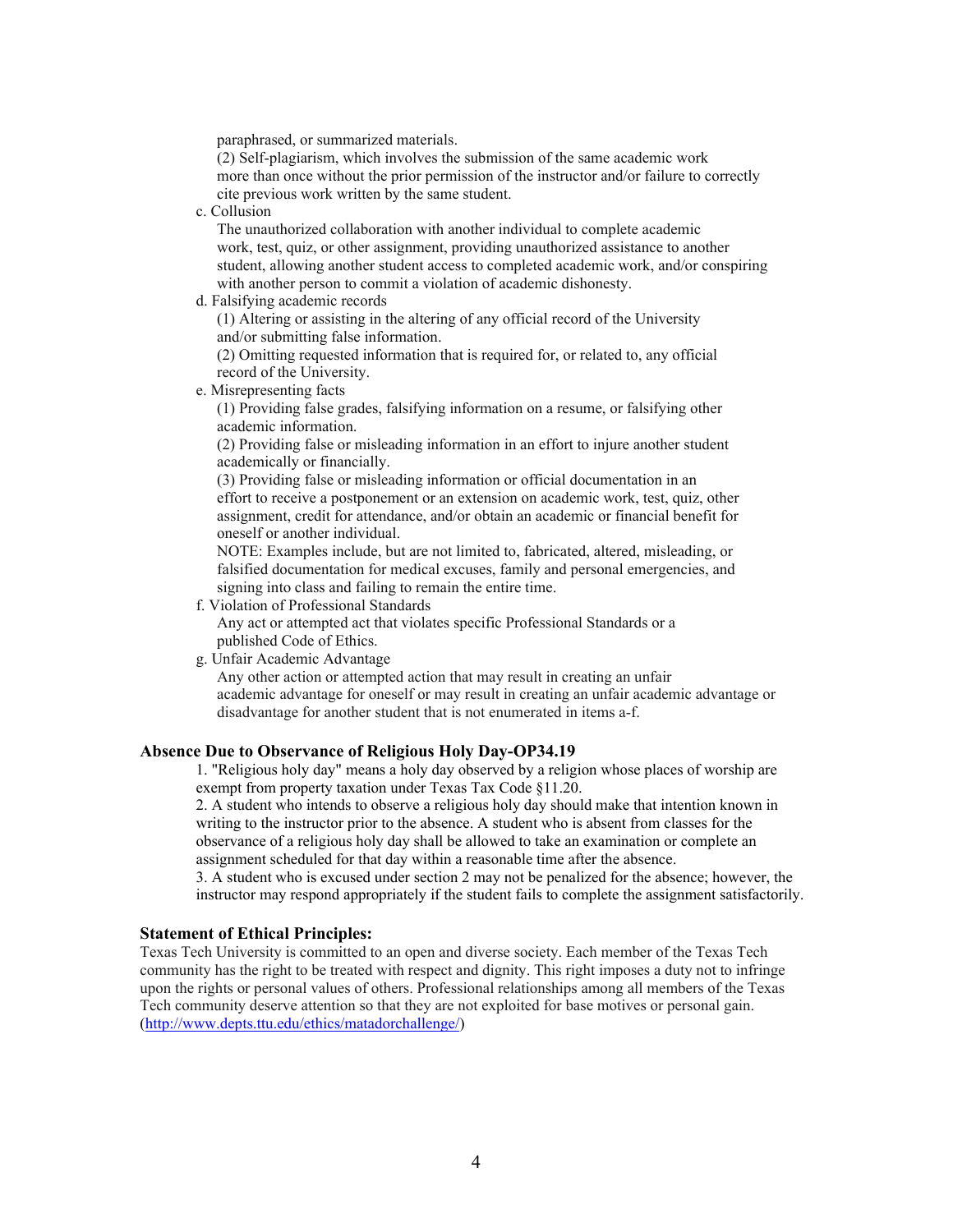paraphrased, or summarized materials.

(2) Self-plagiarism, which involves the submission of the same academic work more than once without the prior permission of the instructor and/or failure to correctly cite previous work written by the same student.

c. Collusion

The unauthorized collaboration with another individual to complete academic work, test, quiz, or other assignment, providing unauthorized assistance to another student, allowing another student access to completed academic work, and/or conspiring with another person to commit a violation of academic dishonesty.

d. Falsifying academic records

(1) Altering or assisting in the altering of any official record of the University and/or submitting false information.

(2) Omitting requested information that is required for, or related to, any official record of the University.

#### e. Misrepresenting facts

(1) Providing false grades, falsifying information on a resume, or falsifying other academic information.

(2) Providing false or misleading information in an effort to injure another student academically or financially.

(3) Providing false or misleading information or official documentation in an effort to receive a postponement or an extension on academic work, test, quiz, other assignment, credit for attendance, and/or obtain an academic or financial benefit for oneself or another individual.

NOTE: Examples include, but are not limited to, fabricated, altered, misleading, or falsified documentation for medical excuses, family and personal emergencies, and signing into class and failing to remain the entire time.

f. Violation of Professional Standards

Any act or attempted act that violates specific Professional Standards or a published Code of Ethics.

g. Unfair Academic Advantage

Any other action or attempted action that may result in creating an unfair academic advantage for oneself or may result in creating an unfair academic advantage or disadvantage for another student that is not enumerated in items a-f.

### **Absence Due to Observance of Religious Holy Day-OP34.19**

1. "Religious holy day" means a holy day observed by a religion whose places of worship are exempt from property taxation under Texas Tax Code §11.20.

2. A student who intends to observe a religious holy day should make that intention known in writing to the instructor prior to the absence. A student who is absent from classes for the observance of a religious holy day shall be allowed to take an examination or complete an assignment scheduled for that day within a reasonable time after the absence.

3. A student who is excused under section 2 may not be penalized for the absence; however, the instructor may respond appropriately if the student fails to complete the assignment satisfactorily.

# **Statement of Ethical Principles:**

Texas Tech University is committed to an open and diverse society. Each member of the Texas Tech community has the right to be treated with respect and dignity. This right imposes a duty not to infringe upon the rights or personal values of others. Professional relationships among all members of the Texas Tech community deserve attention so that they are not exploited for base motives or personal gain. (http://www.depts.ttu.edu/ethics/matadorchallenge/)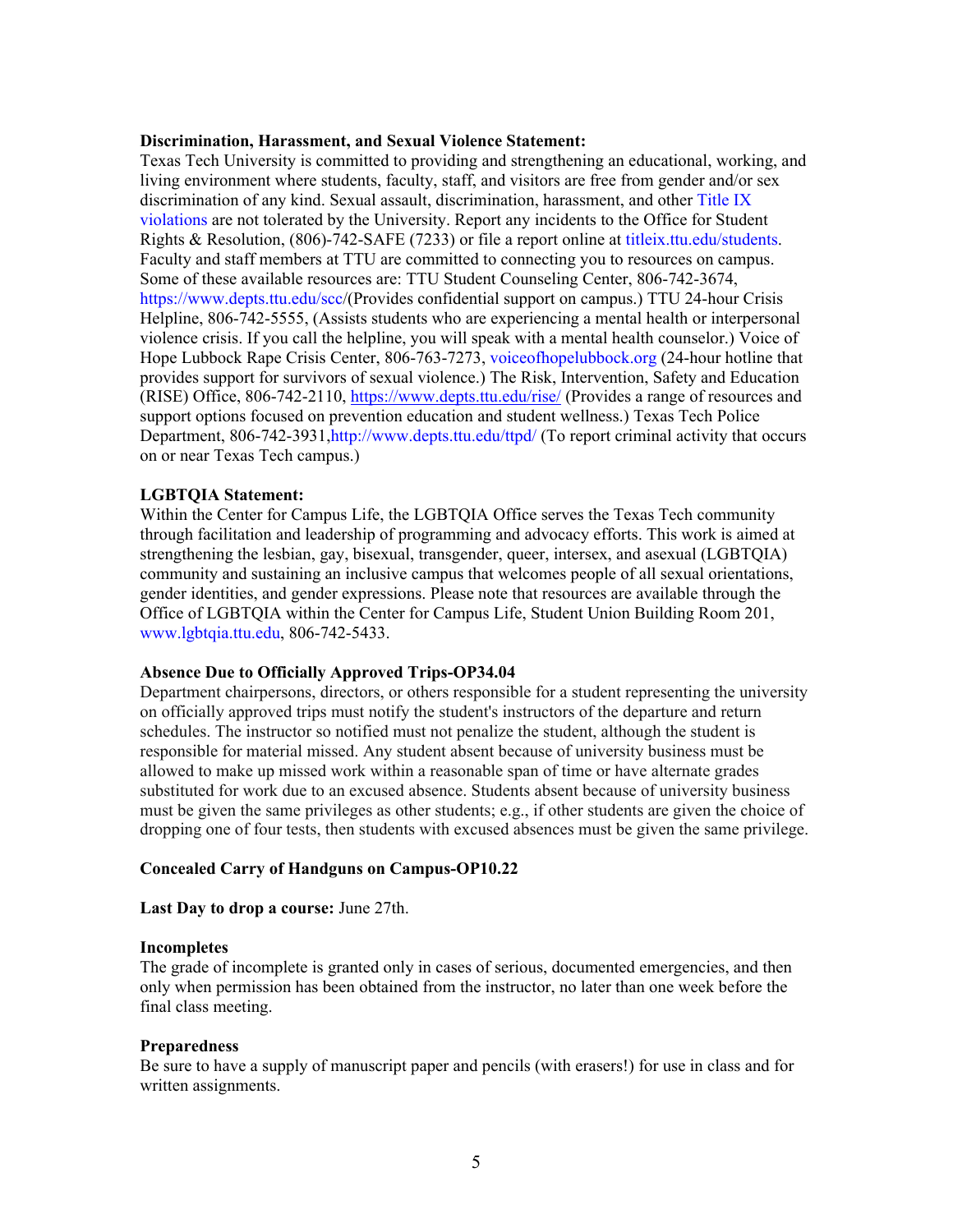#### **Discrimination, Harassment, and Sexual Violence Statement:**

Texas Tech University is committed to providing and strengthening an educational, working, and living environment where students, faculty, staff, and visitors are free from gender and/or sex discrimination of any kind. Sexual assault, discrimination, harassment, and other Title IX violations are not tolerated by the University. Report any incidents to the Office for Student Rights & Resolution, (806)-742-SAFE (7233) or file a report online at titleix.ttu.edu/students. Faculty and staff members at TTU are committed to connecting you to resources on campus. Some of these available resources are: TTU Student Counseling Center, 806-742-3674, https://www.depts.ttu.edu/scc/(Provides confidential support on campus.) TTU 24-hour Crisis Helpline, 806-742-5555, (Assists students who are experiencing a mental health or interpersonal violence crisis. If you call the helpline, you will speak with a mental health counselor.) Voice of Hope Lubbock Rape Crisis Center, 806-763-7273, voiceofhopelubbock.org (24-hour hotline that provides support for survivors of sexual violence.) The Risk, Intervention, Safety and Education (RISE) Office, 806-742-2110, https://www.depts.ttu.edu/rise/ (Provides a range of resources and support options focused on prevention education and student wellness.) Texas Tech Police Department, 806-742-3931, http://www.depts.ttu.edu/ttpd/ (To report criminal activity that occurs on or near Texas Tech campus.)

#### **LGBTQIA Statement:**

Within the Center for Campus Life, the LGBTQIA Office serves the Texas Tech community through facilitation and leadership of programming and advocacy efforts. This work is aimed at strengthening the lesbian, gay, bisexual, transgender, queer, intersex, and asexual (LGBTQIA) community and sustaining an inclusive campus that welcomes people of all sexual orientations, gender identities, and gender expressions. Please note that resources are available through the Office of LGBTQIA within the Center for Campus Life, Student Union Building Room 201, www.lgbtqia.ttu.edu, 806-742-5433.

#### **Absence Due to Officially Approved Trips-OP34.04**

Department chairpersons, directors, or others responsible for a student representing the university on officially approved trips must notify the student's instructors of the departure and return schedules. The instructor so notified must not penalize the student, although the student is responsible for material missed. Any student absent because of university business must be allowed to make up missed work within a reasonable span of time or have alternate grades substituted for work due to an excused absence. Students absent because of university business must be given the same privileges as other students; e.g., if other students are given the choice of dropping one of four tests, then students with excused absences must be given the same privilege.

# **Concealed Carry of Handguns on Campus-OP10.22**

**Last Day to drop a course:** June 27th.

#### **Incompletes**

The grade of incomplete is granted only in cases of serious, documented emergencies, and then only when permission has been obtained from the instructor, no later than one week before the final class meeting.

#### **Preparedness**

Be sure to have a supply of manuscript paper and pencils (with erasers!) for use in class and for written assignments.